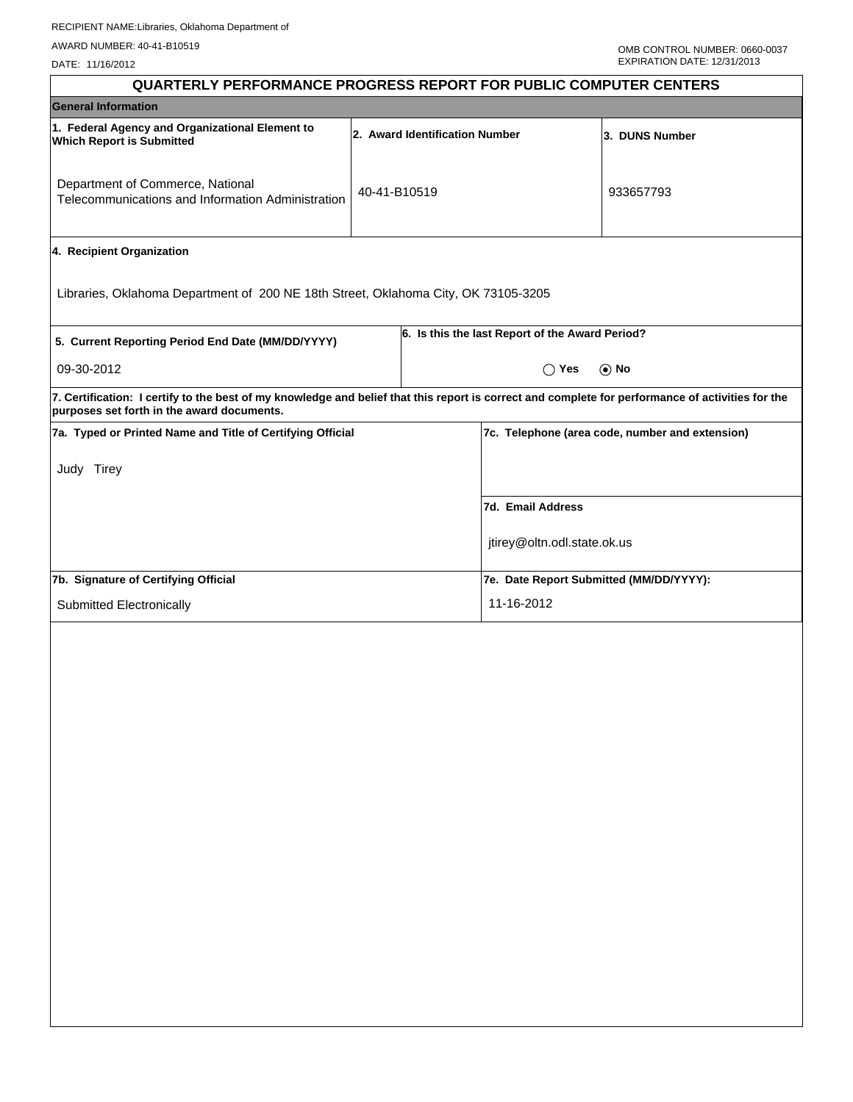DATE: 11/16/2012

| <b>QUARTERLY PERFORMANCE PROGRESS REPORT FOR PUBLIC COMPUTER CENTERS</b>                                                                                                                        |              |                                |                                                 |                                                 |
|-------------------------------------------------------------------------------------------------------------------------------------------------------------------------------------------------|--------------|--------------------------------|-------------------------------------------------|-------------------------------------------------|
| <b>General Information</b>                                                                                                                                                                      |              |                                |                                                 |                                                 |
| 1. Federal Agency and Organizational Element to<br><b>Which Report is Submitted</b>                                                                                                             |              | 2. Award Identification Number |                                                 | 3. DUNS Number                                  |
| Department of Commerce, National<br>Telecommunications and Information Administration                                                                                                           | 40-41-B10519 |                                |                                                 | 933657793                                       |
| 4. Recipient Organization                                                                                                                                                                       |              |                                |                                                 |                                                 |
| Libraries, Oklahoma Department of 200 NE 18th Street, Oklahoma City, OK 73105-3205                                                                                                              |              |                                |                                                 |                                                 |
| 5. Current Reporting Period End Date (MM/DD/YYYY)                                                                                                                                               |              |                                | 6. Is this the last Report of the Award Period? |                                                 |
| 09-30-2012                                                                                                                                                                                      |              |                                | $\bigcap$ Yes                                   | $\odot$ No                                      |
| 7. Certification: I certify to the best of my knowledge and belief that this report is correct and complete for performance of activities for the<br>purposes set forth in the award documents. |              |                                |                                                 |                                                 |
| 7a. Typed or Printed Name and Title of Certifying Official                                                                                                                                      |              |                                |                                                 | 7c. Telephone (area code, number and extension) |
| Judy Tirey                                                                                                                                                                                      |              |                                |                                                 |                                                 |
|                                                                                                                                                                                                 |              |                                | 7d. Email Address                               |                                                 |
|                                                                                                                                                                                                 |              |                                | jtirey@oltn.odl.state.ok.us                     |                                                 |
| 7b. Signature of Certifying Official                                                                                                                                                            |              |                                | 7e. Date Report Submitted (MM/DD/YYYY):         |                                                 |
| Submitted Electronically                                                                                                                                                                        |              |                                | 11-16-2012                                      |                                                 |
|                                                                                                                                                                                                 |              |                                |                                                 |                                                 |
|                                                                                                                                                                                                 |              |                                |                                                 |                                                 |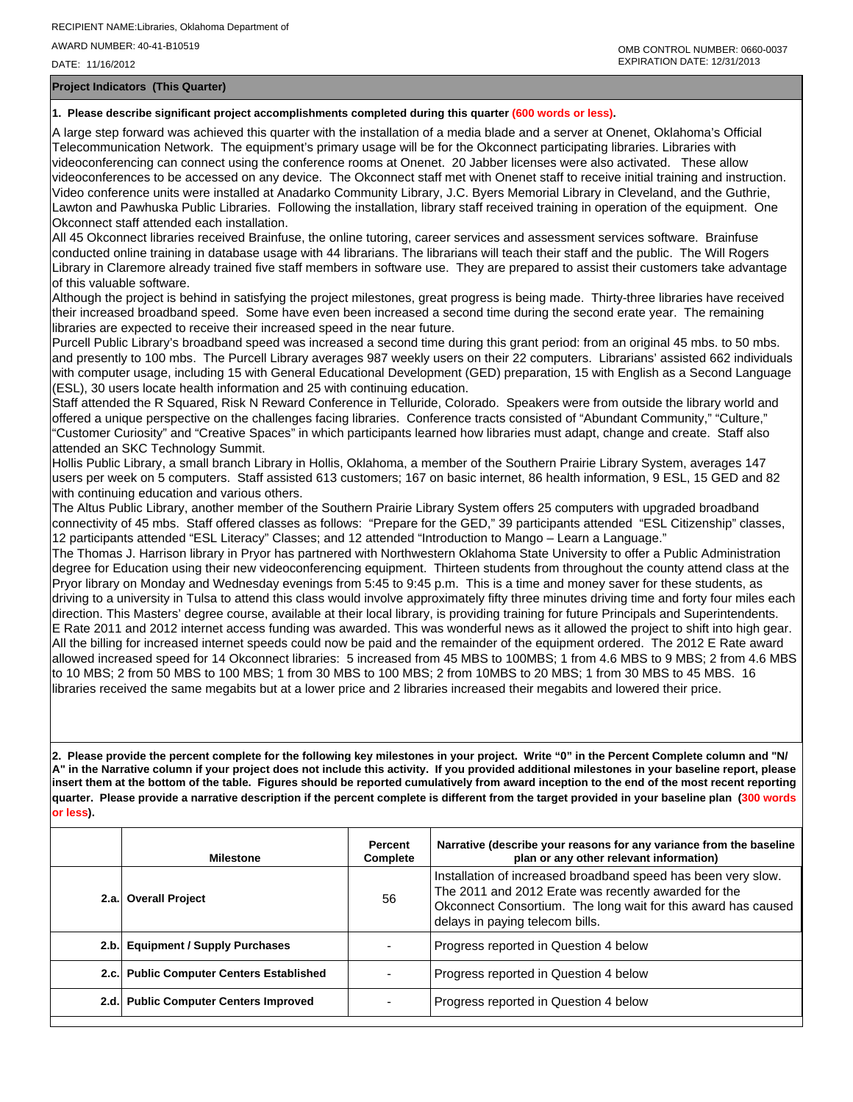DATE: 11/16/2012

**Project Indicators (This Quarter)**

## **1. Please describe significant project accomplishments completed during this quarter (600 words or less).**

A large step forward was achieved this quarter with the installation of a media blade and a server at Onenet, Oklahoma's Official Telecommunication Network. The equipment's primary usage will be for the Okconnect participating libraries. Libraries with videoconferencing can connect using the conference rooms at Onenet. 20 Jabber licenses were also activated. These allow videoconferences to be accessed on any device. The Okconnect staff met with Onenet staff to receive initial training and instruction. Video conference units were installed at Anadarko Community Library, J.C. Byers Memorial Library in Cleveland, and the Guthrie, Lawton and Pawhuska Public Libraries. Following the installation, library staff received training in operation of the equipment. One Okconnect staff attended each installation.

All 45 Okconnect libraries received Brainfuse, the online tutoring, career services and assessment services software. Brainfuse conducted online training in database usage with 44 librarians. The librarians will teach their staff and the public. The Will Rogers Library in Claremore already trained five staff members in software use. They are prepared to assist their customers take advantage of this valuable software.

Although the project is behind in satisfying the project milestones, great progress is being made. Thirty-three libraries have received their increased broadband speed. Some have even been increased a second time during the second erate year. The remaining libraries are expected to receive their increased speed in the near future.

Purcell Public Library's broadband speed was increased a second time during this grant period: from an original 45 mbs. to 50 mbs. and presently to 100 mbs. The Purcell Library averages 987 weekly users on their 22 computers. Librarians' assisted 662 individuals with computer usage, including 15 with General Educational Development (GED) preparation, 15 with English as a Second Language (ESL), 30 users locate health information and 25 with continuing education.

Staff attended the R Squared, Risk N Reward Conference in Telluride, Colorado. Speakers were from outside the library world and offered a unique perspective on the challenges facing libraries. Conference tracts consisted of "Abundant Community," "Culture," "Customer Curiosity" and "Creative Spaces" in which participants learned how libraries must adapt, change and create. Staff also attended an SKC Technology Summit.

Hollis Public Library, a small branch Library in Hollis, Oklahoma, a member of the Southern Prairie Library System, averages 147 users per week on 5 computers. Staff assisted 613 customers; 167 on basic internet, 86 health information, 9 ESL, 15 GED and 82 with continuing education and various others.

The Altus Public Library, another member of the Southern Prairie Library System offers 25 computers with upgraded broadband connectivity of 45 mbs. Staff offered classes as follows: "Prepare for the GED," 39 participants attended "ESL Citizenship" classes, 12 participants attended "ESL Literacy" Classes; and 12 attended "Introduction to Mango – Learn a Language."

The Thomas J. Harrison library in Pryor has partnered with Northwestern Oklahoma State University to offer a Public Administration degree for Education using their new videoconferencing equipment. Thirteen students from throughout the county attend class at the Pryor library on Monday and Wednesday evenings from 5:45 to 9:45 p.m. This is a time and money saver for these students, as driving to a university in Tulsa to attend this class would involve approximately fifty three minutes driving time and forty four miles each direction. This Masters' degree course, available at their local library, is providing training for future Principals and Superintendents. E Rate 2011 and 2012 internet access funding was awarded. This was wonderful news as it allowed the project to shift into high gear. All the billing for increased internet speeds could now be paid and the remainder of the equipment ordered. The 2012 E Rate award allowed increased speed for 14 Okconnect libraries: 5 increased from 45 MBS to 100MBS; 1 from 4.6 MBS to 9 MBS; 2 from 4.6 MBS to 10 MBS; 2 from 50 MBS to 100 MBS; 1 from 30 MBS to 100 MBS; 2 from 10MBS to 20 MBS; 1 from 30 MBS to 45 MBS. 16 libraries received the same megabits but at a lower price and 2 libraries increased their megabits and lowered their price.

**2. Please provide the percent complete for the following key milestones in your project. Write "0" in the Percent Complete column and "N/ A" in the Narrative column if your project does not include this activity. If you provided additional milestones in your baseline report, please insert them at the bottom of the table. Figures should be reported cumulatively from award inception to the end of the most recent reporting quarter. Please provide a narrative description if the percent complete is different from the target provided in your baseline plan (300 words or less).**

| <b>Milestone</b>                         | Percent<br>Complete | Narrative (describe your reasons for any variance from the baseline<br>plan or any other relevant information)                                                                                                            |
|------------------------------------------|---------------------|---------------------------------------------------------------------------------------------------------------------------------------------------------------------------------------------------------------------------|
| 2.a. Overall Project                     | 56                  | Installation of increased broadband speed has been very slow.<br>The 2011 and 2012 Erate was recently awarded for the<br>Okconnect Consortium. The long wait for this award has caused<br>delays in paying telecom bills. |
| 2.b. Equipment / Supply Purchases        |                     | Progress reported in Question 4 below                                                                                                                                                                                     |
| 2.c. Public Computer Centers Established |                     | Progress reported in Question 4 below                                                                                                                                                                                     |
| 2.d. Public Computer Centers Improved    |                     | Progress reported in Question 4 below                                                                                                                                                                                     |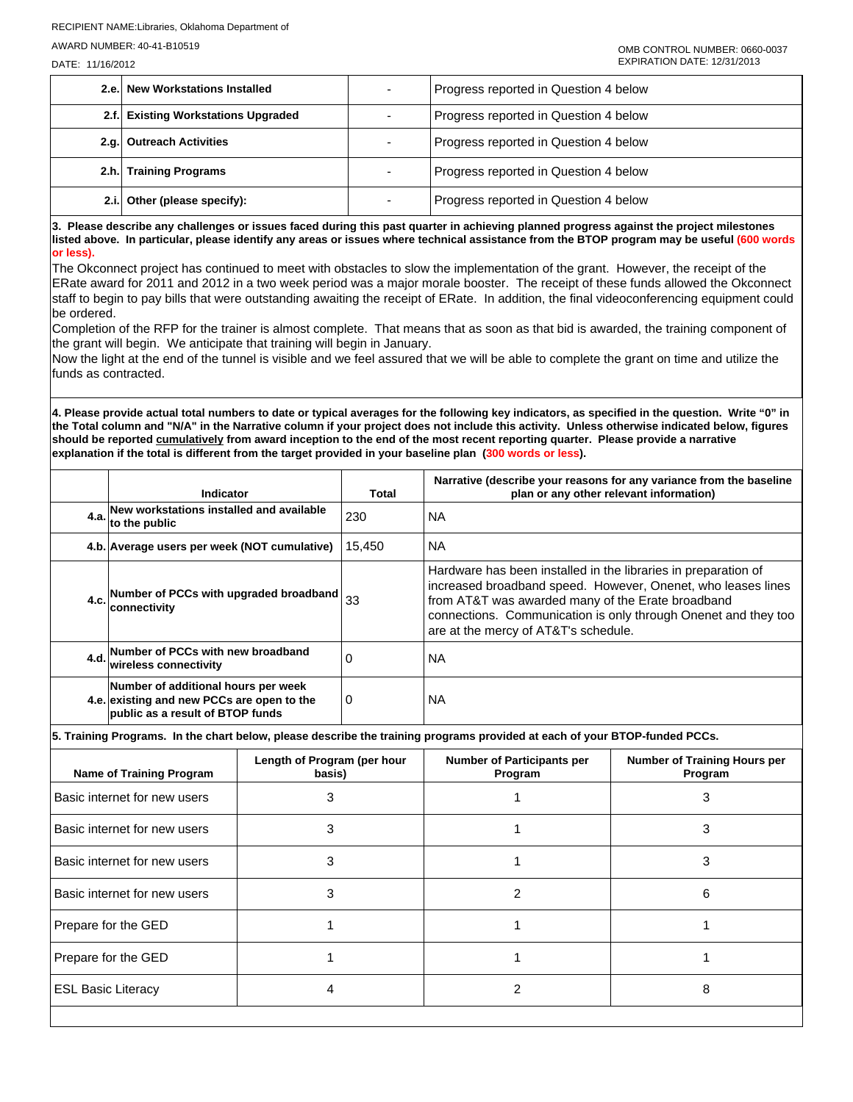DATE: 11/16/2012

| 2.e. New Workstations Installed     | Progress reported in Question 4 below |
|-------------------------------------|---------------------------------------|
| 2.f. Existing Workstations Upgraded | Progress reported in Question 4 below |
| 2.g. Outreach Activities            | Progress reported in Question 4 below |
| 2.h. Training Programs              | Progress reported in Question 4 below |
| 2.i. Other (please specify):        | Progress reported in Question 4 below |

**3. Please describe any challenges or issues faced during this past quarter in achieving planned progress against the project milestones listed above. In particular, please identify any areas or issues where technical assistance from the BTOP program may be useful (600 words or less).**

The Okconnect project has continued to meet with obstacles to slow the implementation of the grant. However, the receipt of the ERate award for 2011 and 2012 in a two week period was a major morale booster. The receipt of these funds allowed the Okconnect staff to begin to pay bills that were outstanding awaiting the receipt of ERate. In addition, the final videoconferencing equipment could be ordered.

Completion of the RFP for the trainer is almost complete. That means that as soon as that bid is awarded, the training component of the grant will begin. We anticipate that training will begin in January.

Now the light at the end of the tunnel is visible and we feel assured that we will be able to complete the grant on time and utilize the funds as contracted.

**4. Please provide actual total numbers to date or typical averages for the following key indicators, as specified in the question. Write "0" in the Total column and "N/A" in the Narrative column if your project does not include this activity. Unless otherwise indicated below, figures should be reported cumulatively from award inception to the end of the most recent reporting quarter. Please provide a narrative explanation if the total is different from the target provided in your baseline plan (300 words or less).** 

| Indicator                                                                                                             | Total    | Narrative (describe your reasons for any variance from the baseline<br>plan or any other relevant information)                                                                                                                                                                                |
|-----------------------------------------------------------------------------------------------------------------------|----------|-----------------------------------------------------------------------------------------------------------------------------------------------------------------------------------------------------------------------------------------------------------------------------------------------|
| 4.a. New workstations installed and available<br>to the public                                                        | 230      | NA.                                                                                                                                                                                                                                                                                           |
| 4.b. Average users per week (NOT cumulative)                                                                          | 15.450   | NA.                                                                                                                                                                                                                                                                                           |
| 4.c. Number of PCCs with upgraded broadband $33$<br>lconnectivitv                                                     |          | Hardware has been installed in the libraries in preparation of<br>increased broadband speed. However, Onenet, who leases lines<br>from AT&T was awarded many of the Erate broadband<br>connections. Communication is only through Onenet and they too<br>are at the mercy of AT&T's schedule. |
| 4.d. Number of PCCs with new broadband<br>wireless connectivity                                                       | $\Omega$ | ΝA                                                                                                                                                                                                                                                                                            |
| Number of additional hours per week<br>4.e. existing and new PCCs are open to the<br>public as a result of BTOP funds | <b>0</b> | ΝA                                                                                                                                                                                                                                                                                            |

**5. Training Programs. In the chart below, please describe the training programs provided at each of your BTOP-funded PCCs.**

| <b>Name of Training Program</b> | Length of Program (per hour<br>basis) | <b>Number of Participants per</b><br>Program | <b>Number of Training Hours per</b><br>Program |
|---------------------------------|---------------------------------------|----------------------------------------------|------------------------------------------------|
| Basic internet for new users    | 3                                     |                                              |                                                |
| Basic internet for new users    | 3                                     |                                              | 3                                              |
| Basic internet for new users    | 3                                     |                                              | з                                              |
| Basic internet for new users    | з                                     | っ                                            | 6                                              |
| Prepare for the GED             |                                       |                                              |                                                |
| Prepare for the GED             |                                       |                                              |                                                |
| <b>ESL Basic Literacy</b>       |                                       | ⌒                                            | 8                                              |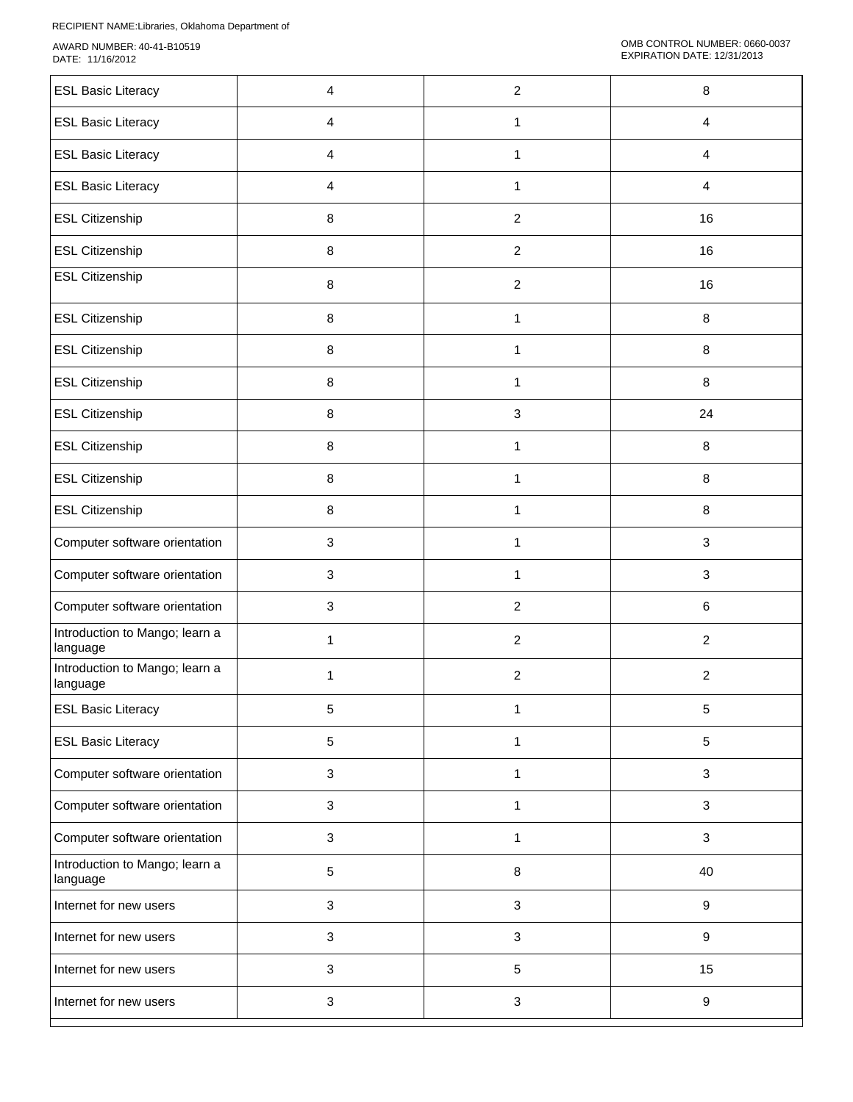| <b>ESL Basic Literacy</b>                  | 4              | $\overline{c}$   | 8                |
|--------------------------------------------|----------------|------------------|------------------|
| <b>ESL Basic Literacy</b>                  | $\overline{4}$ | $\mathbf{1}$     | $\overline{4}$   |
| <b>ESL Basic Literacy</b>                  | $\overline{4}$ | $\mathbf{1}$     | $\overline{4}$   |
| <b>ESL Basic Literacy</b>                  | $\overline{4}$ | $\mathbf{1}$     | 4                |
| <b>ESL Citizenship</b>                     | 8              | $\overline{c}$   | 16               |
| <b>ESL Citizenship</b>                     | 8              | $\overline{2}$   | 16               |
| <b>ESL Citizenship</b>                     | 8              | $\boldsymbol{2}$ | 16               |
| <b>ESL Citizenship</b>                     | 8              | 1                | 8                |
| <b>ESL Citizenship</b>                     | 8              | 1                | 8                |
| <b>ESL Citizenship</b>                     | 8              | 1                | 8                |
| <b>ESL Citizenship</b>                     | 8              | $\mathfrak{Z}$   | 24               |
| <b>ESL Citizenship</b>                     | 8              | $\mathbf{1}$     | 8                |
| <b>ESL Citizenship</b>                     | 8              | 1                | 8                |
| <b>ESL Citizenship</b>                     | 8              | 1                | 8                |
| Computer software orientation              | 3              | 1                | $\mathbf{3}$     |
| Computer software orientation              | 3              | 1                | $\mathbf{3}$     |
| Computer software orientation              | 3              | $\overline{2}$   | 6                |
| Introduction to Mango; learn a<br>language | $\mathbf{1}$   | $\overline{c}$   | $\overline{2}$   |
| Introduction to Mango; learn a<br>language | 1              | $\overline{2}$   | $\overline{2}$   |
| <b>ESL Basic Literacy</b>                  | 5              | 1                | 5                |
| <b>ESL Basic Literacy</b>                  | 5              | 1                | 5                |
| Computer software orientation              | 3              | $\mathbf{1}$     | $\mathbf{3}$     |
| Computer software orientation              | 3              | $\mathbf{1}$     | $\mathbf{3}$     |
| Computer software orientation              | 3              | 1                | $\mathbf{3}$     |
| Introduction to Mango; learn a<br>language | 5              | 8                | 40               |
| Internet for new users                     | 3              | $\mathfrak{S}$   | $\boldsymbol{9}$ |
| Internet for new users                     | $\mathbf{3}$   | $\mathbf{3}$     | $\boldsymbol{9}$ |
| Internet for new users                     | 3              | $5\,$            | 15               |
| Internet for new users                     | $\mathbf{3}$   | $\sqrt{3}$       | 9                |
|                                            |                |                  |                  |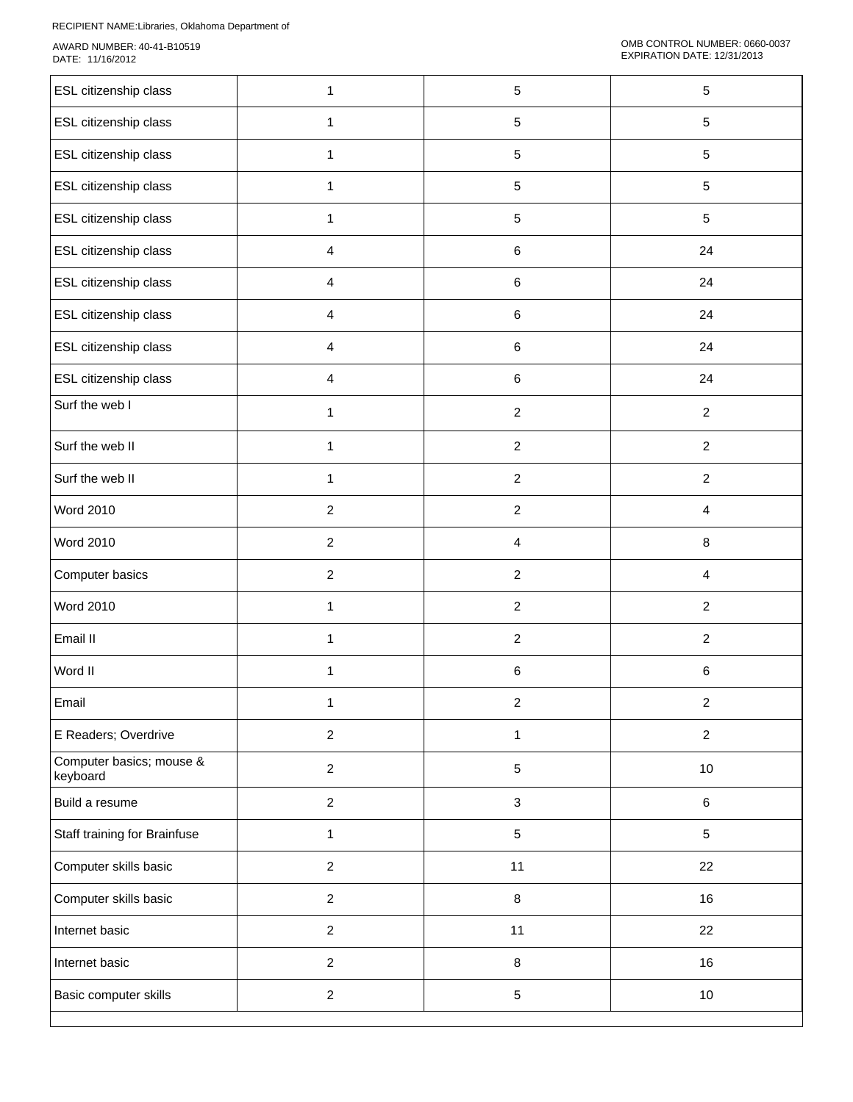| ESL citizenship class                | 1              | 5              | $\sqrt{5}$     |
|--------------------------------------|----------------|----------------|----------------|
| ESL citizenship class                | $\mathbf{1}$   | $\sqrt{5}$     | 5              |
| <b>ESL citizenship class</b>         | $\mathbf{1}$   | $\sqrt{5}$     | $\sqrt{5}$     |
| ESL citizenship class                | 1              | $\sqrt{5}$     | 5              |
| ESL citizenship class                | 1              | 5              | 5              |
| ESL citizenship class                | 4              | 6              | 24             |
| ESL citizenship class                | $\overline{4}$ | 6              | 24             |
| ESL citizenship class                | $\overline{4}$ | 6              | 24             |
| ESL citizenship class                | 4              | $\,6$          | 24             |
| ESL citizenship class                | 4              | 6              | 24             |
| Surf the web I                       | 1              | $\overline{c}$ | $\overline{c}$ |
| Surf the web II                      | 1              | $\overline{c}$ | $\overline{a}$ |
| Surf the web II                      | 1              | $\overline{2}$ | $\overline{2}$ |
| <b>Word 2010</b>                     | $\overline{a}$ | $\overline{c}$ | 4              |
| <b>Word 2010</b>                     | $\overline{2}$ | $\overline{4}$ | 8              |
| Computer basics                      | $\overline{2}$ | $\overline{2}$ | $\overline{4}$ |
| <b>Word 2010</b>                     | $\mathbf{1}$   | $\overline{c}$ | $\overline{2}$ |
| Email II                             | $\mathbf{1}$   | $\overline{c}$ | $\overline{2}$ |
| Word II                              | 1              | 6              | $\,6\,$        |
| Email                                | 1              | $\overline{c}$ | $\overline{a}$ |
| E Readers; Overdrive                 | $\overline{a}$ | $\mathbf{1}$   | $\overline{a}$ |
| Computer basics; mouse &<br>keyboard | $\overline{a}$ | $\,$ 5 $\,$    | $10\,$         |
| Build a resume                       | $\overline{a}$ | $\mathbf{3}$   | 6              |
| Staff training for Brainfuse         | $\mathbf{1}$   | $\,$ 5 $\,$    | 5              |
| Computer skills basic                | $\overline{a}$ | 11             | 22             |
| Computer skills basic                | $\overline{a}$ | $\bf 8$        | 16             |
| Internet basic                       | $\overline{a}$ | 11             | 22             |
| Internet basic                       | $\overline{a}$ | $\bf 8$        | 16             |
| Basic computer skills                | $\overline{a}$ | $\,$ 5 $\,$    | $10\,$         |
|                                      |                |                |                |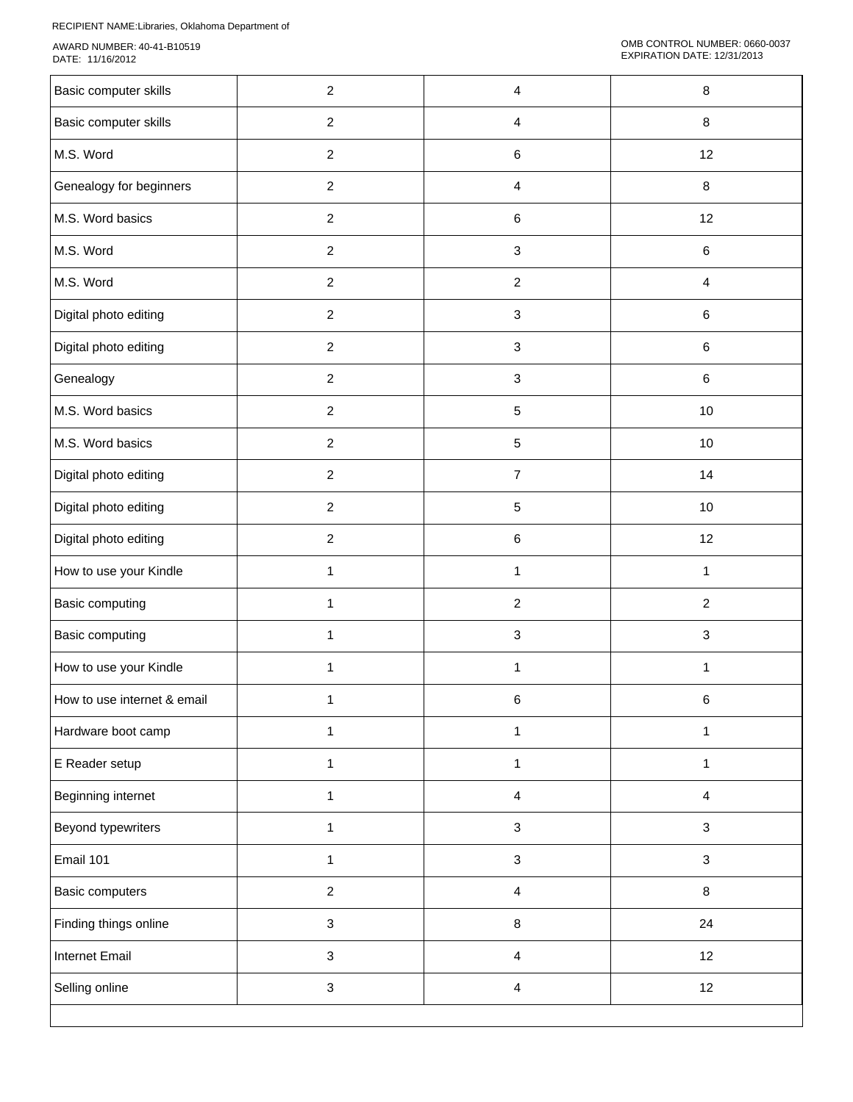| Basic computer skills       | $\overline{c}$            | 4                         | $\bf 8$                 |
|-----------------------------|---------------------------|---------------------------|-------------------------|
| Basic computer skills       | $\overline{c}$            | $\overline{\mathbf{4}}$   | $\bf 8$                 |
| M.S. Word                   | $\overline{c}$            | $\,6\,$                   | 12                      |
| Genealogy for beginners     | $\overline{2}$            | $\overline{\mathbf{4}}$   | $\bf 8$                 |
| M.S. Word basics            | $\overline{c}$            | $\,6\,$                   | 12                      |
| M.S. Word                   | $\overline{c}$            | $\ensuremath{\mathsf{3}}$ | $\,6\,$                 |
| M.S. Word                   | $\overline{c}$            | $\boldsymbol{2}$          | $\overline{\mathbf{4}}$ |
| Digital photo editing       | $\boldsymbol{2}$          | $\sqrt{3}$                | $\,6\,$                 |
| Digital photo editing       | $\overline{c}$            | $\sqrt{3}$                | $\,6$                   |
| Genealogy                   | $\overline{c}$            | $\ensuremath{\mathsf{3}}$ | $\,6\,$                 |
| M.S. Word basics            | $\overline{c}$            | $\sqrt{5}$                | 10                      |
| M.S. Word basics            | $\overline{c}$            | $\sqrt{5}$                | $10$                    |
| Digital photo editing       | $\overline{2}$            | $\overline{7}$            | 14                      |
| Digital photo editing       | $\overline{c}$            | $\sqrt{5}$                | 10                      |
| Digital photo editing       | $\overline{c}$            | $\,6\,$                   | 12                      |
| How to use your Kindle      | $\mathbf{1}$              | $\mathbf{1}$              | $\mathbf 1$             |
| Basic computing             | $\mathbf{1}$              | $\sqrt{2}$                | $\overline{2}$          |
| Basic computing             | 1                         | $\ensuremath{\mathsf{3}}$ | $\sqrt{3}$              |
| How to use your Kindle      | 1                         | $\mathbf{1}$              | $\mathbf{1}$            |
| How to use internet & email | 1                         | 6                         | 6                       |
| Hardware boot camp          | $\mathbf{1}$              | $\mathbf{1}$              | $\mathbf{1}$            |
| E Reader setup              | $\mathbf{1}$              | $\mathbf{1}$              | $\mathbf{1}$            |
| Beginning internet          | $\mathbf{1}$              | $\overline{4}$            | $\overline{4}$          |
| Beyond typewriters          | $\mathbf{1}$              | $\sqrt{3}$                | $\mathbf{3}$            |
| Email 101                   | 1                         | $\ensuremath{\mathsf{3}}$ | $\mathbf{3}$            |
| Basic computers             | $\overline{2}$            | $\overline{\mathbf{4}}$   | $\bf 8$                 |
| Finding things online       | $\sqrt{3}$                | $\, 8$                    | 24                      |
| <b>Internet Email</b>       | $\ensuremath{\mathsf{3}}$ | $\overline{4}$            | 12                      |
| Selling online              | $\sqrt{3}$                | $\overline{4}$            | 12                      |
|                             |                           |                           |                         |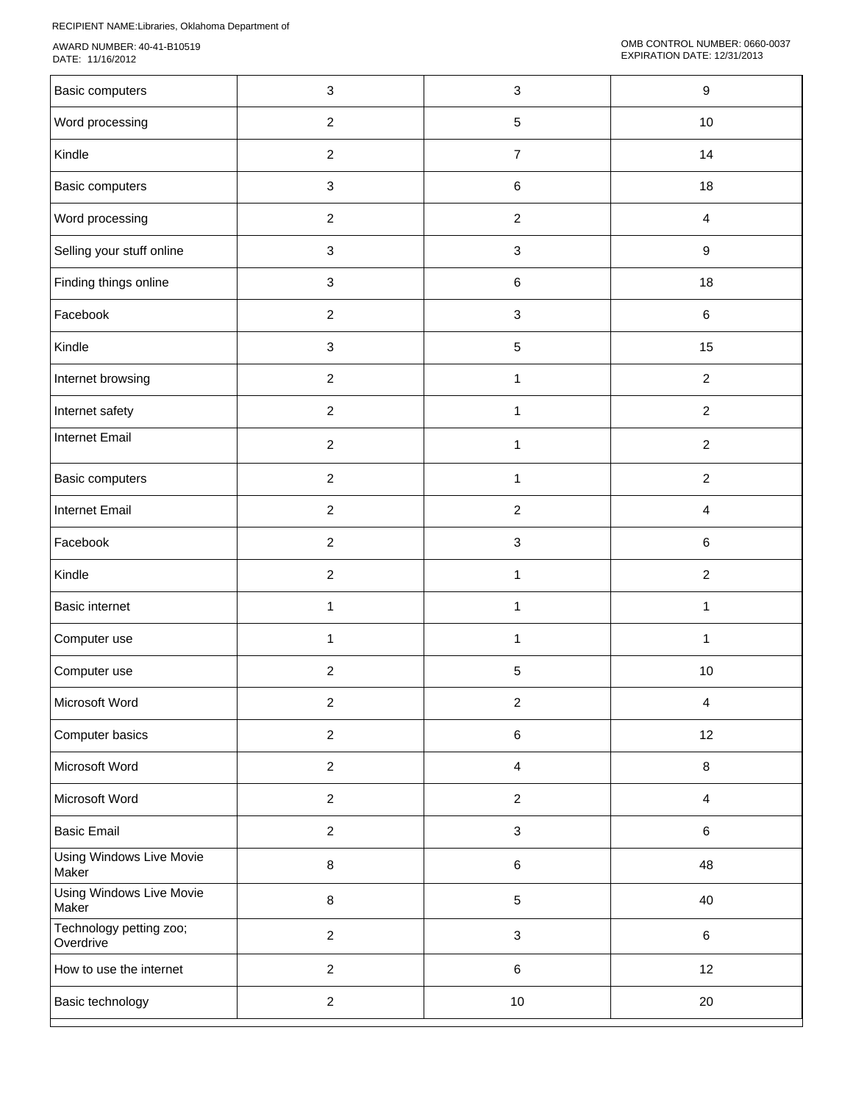| Basic computers                      | 3              | $\mathbf{3}$              | 9                       |
|--------------------------------------|----------------|---------------------------|-------------------------|
| Word processing                      | $\overline{2}$ | $\,$ 5 $\,$               | $10$                    |
| Kindle                               | $\overline{2}$ | $\overline{7}$            | 14                      |
| Basic computers                      | 3              | 6                         | 18                      |
| Word processing                      | $\overline{2}$ | $\boldsymbol{2}$          | 4                       |
| Selling your stuff online            | 3              | $\sqrt{3}$                | 9                       |
| Finding things online                | 3              | 6                         | 18                      |
| Facebook                             | $\overline{2}$ | $\sqrt{3}$                | 6                       |
| Kindle                               | 3              | 5                         | 15                      |
| Internet browsing                    | $\overline{2}$ | $\mathbf{1}$              | $\overline{2}$          |
| Internet safety                      | $\overline{2}$ | $\mathbf{1}$              | $\overline{c}$          |
| <b>Internet Email</b>                | $\overline{2}$ | 1                         | $\overline{2}$          |
| Basic computers                      | $\overline{2}$ | $\mathbf{1}$              | $\overline{2}$          |
| <b>Internet Email</b>                | $\overline{2}$ | $\overline{c}$            | 4                       |
| Facebook                             | $\overline{2}$ | $\ensuremath{\mathsf{3}}$ | 6                       |
| Kindle                               | $\overline{2}$ | 1                         | $\overline{c}$          |
| <b>Basic internet</b>                | $\mathbf{1}$   | $\mathbf{1}$              | $\mathbf{1}$            |
| Computer use                         | $\mathbf{1}$   | $\mathbf{1}$              | $\mathbf{1}$            |
| Computer use                         | $\overline{2}$ | $\mathbf 5$               | $10$                    |
| Microsoft Word                       | $\overline{c}$ | $\overline{c}$            | $\overline{\mathbf{4}}$ |
| Computer basics                      | $\overline{2}$ | $\,6\,$                   | 12                      |
| Microsoft Word                       | $\overline{2}$ | $\overline{\mathbf{4}}$   | $\bf 8$                 |
| Microsoft Word                       | $\overline{2}$ | $\overline{c}$            | $\overline{4}$          |
| <b>Basic Email</b>                   | $\overline{c}$ | $\sqrt{3}$                | $\,6\,$                 |
| Using Windows Live Movie<br>Maker    | $\bf 8$        | $\,6\,$                   | 48                      |
| Using Windows Live Movie<br>Maker    | $\bf 8$        | $\,$ 5 $\,$               | 40                      |
| Technology petting zoo;<br>Overdrive | $\overline{c}$ | $\mathbf{3}$              | 6                       |
| How to use the internet              | $\overline{2}$ | 6                         | 12                      |
| Basic technology                     | $\overline{2}$ | $10\,$                    | 20                      |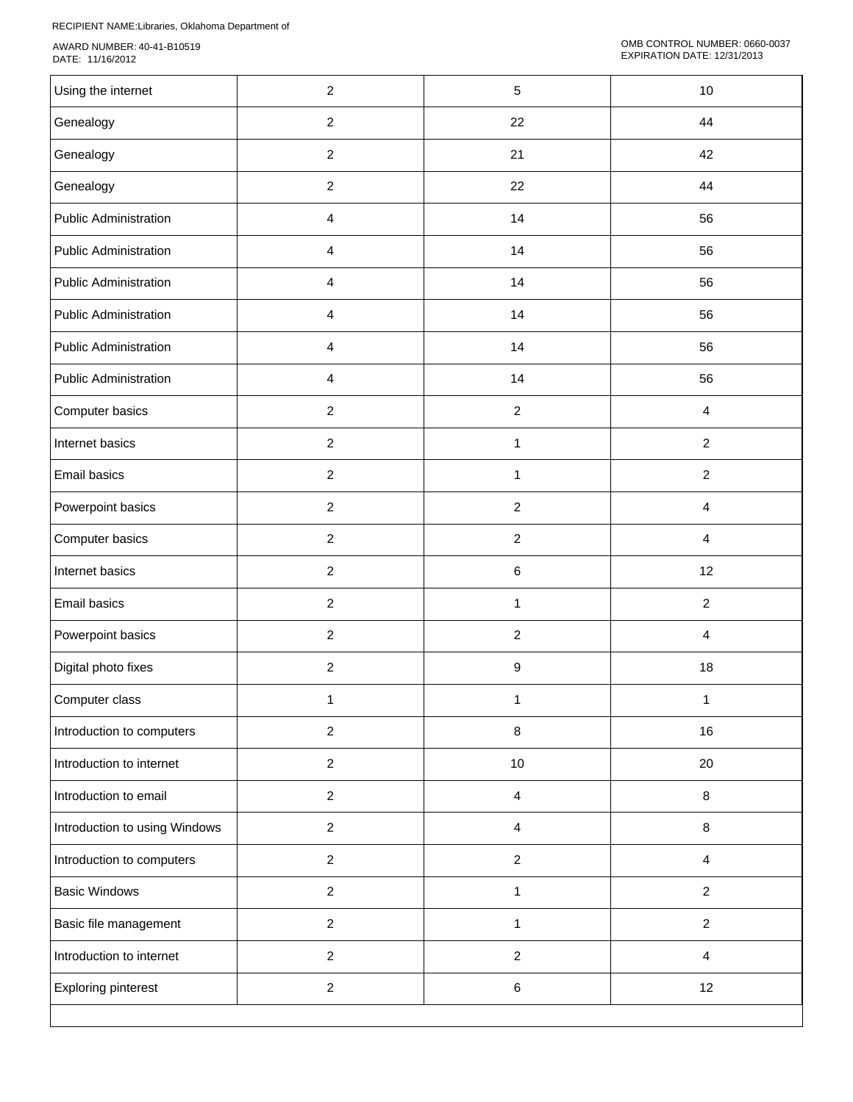| Using the internet            | $\overline{c}$ | $\sqrt{5}$     | 10             |
|-------------------------------|----------------|----------------|----------------|
| Genealogy                     | $\overline{2}$ | 22             | 44             |
| Genealogy                     | $\overline{2}$ | 21             | 42             |
| Genealogy                     | $\overline{2}$ | 22             | 44             |
| <b>Public Administration</b>  | $\overline{4}$ | 14             | 56             |
| <b>Public Administration</b>  | $\overline{4}$ | 14             | 56             |
| Public Administration         | 4              | 14             | 56             |
| Public Administration         | $\overline{4}$ | 14             | 56             |
| <b>Public Administration</b>  | $\overline{4}$ | 14             | 56             |
| <b>Public Administration</b>  | $\overline{4}$ | 14             | 56             |
| Computer basics               | $\overline{2}$ | $\sqrt{2}$     | $\overline{4}$ |
| Internet basics               | $\overline{2}$ | 1              | $\overline{2}$ |
| <b>Email basics</b>           | $\overline{c}$ | 1              | $\overline{c}$ |
| Powerpoint basics             | $\overline{2}$ | $\sqrt{2}$     | $\overline{4}$ |
| Computer basics               | $\overline{2}$ | $\sqrt{2}$     | $\overline{4}$ |
| Internet basics               | $\overline{2}$ | $\,6\,$        | 12             |
| Email basics                  | $\overline{2}$ | $\mathbf{1}$   | $\overline{2}$ |
| Powerpoint basics             | $\overline{2}$ | $\sqrt{2}$     | $\overline{4}$ |
| Digital photo fixes           | $\overline{a}$ | 9              | 18             |
| Computer class                | 1              | 1              | 1              |
| Introduction to computers     | $\overline{2}$ | $\bf 8$        | 16             |
| Introduction to internet      | $\overline{2}$ | $10$           | 20             |
| Introduction to email         | $\overline{c}$ | $\overline{4}$ | 8              |
| Introduction to using Windows | $\overline{2}$ | $\overline{4}$ | 8              |
| Introduction to computers     | $\overline{c}$ | $\sqrt{2}$     | $\overline{4}$ |
| <b>Basic Windows</b>          | $\overline{a}$ | $\mathbf{1}$   | $\overline{c}$ |
| Basic file management         | $\overline{c}$ | $\mathbf{1}$   | $\overline{c}$ |
| Introduction to internet      | $\overline{c}$ | $\sqrt{2}$     | $\overline{4}$ |
| <b>Exploring pinterest</b>    | $\overline{c}$ | $\,6\,$        | 12             |
|                               |                |                |                |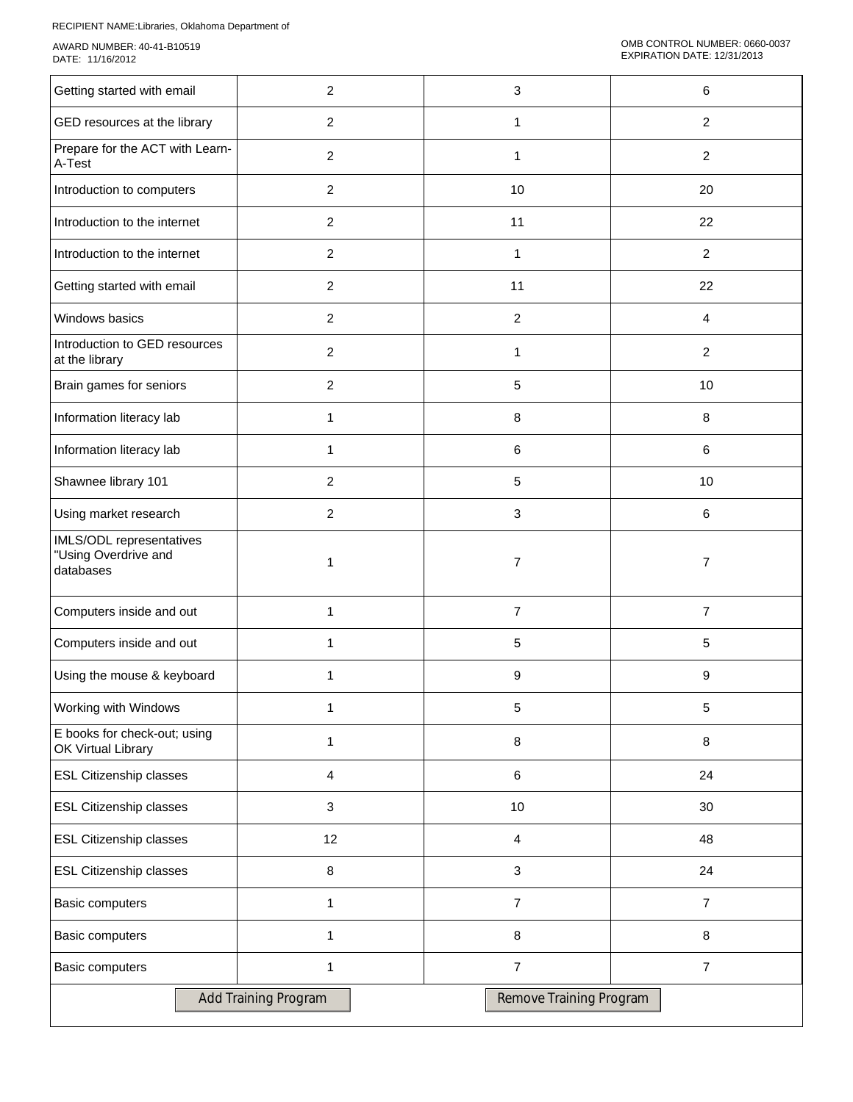| Getting started with email                                    | $\overline{2}$       | 3                       | 6              |
|---------------------------------------------------------------|----------------------|-------------------------|----------------|
| GED resources at the library                                  | $\overline{2}$       | $\mathbf{1}$            | $\overline{2}$ |
| Prepare for the ACT with Learn-<br>A-Test                     | $\overline{2}$       | $\mathbf{1}$            | $\overline{2}$ |
| Introduction to computers                                     | $\overline{2}$       | 10                      | 20             |
| Introduction to the internet                                  | $\overline{c}$       | 11                      | 22             |
| Introduction to the internet                                  | $\overline{2}$       | $\mathbf{1}$            | $\overline{2}$ |
| Getting started with email                                    | $\overline{c}$       | 11                      | 22             |
| Windows basics                                                | $\overline{2}$       | $\boldsymbol{2}$        | 4              |
| Introduction to GED resources<br>at the library               | $\overline{c}$       | 1                       | $\overline{c}$ |
| Brain games for seniors                                       | $\overline{c}$       | 5                       | 10             |
| Information literacy lab                                      | 1                    | 8                       | 8              |
| Information literacy lab                                      | 1                    | 6                       | 6              |
| Shawnee library 101                                           | $\overline{2}$       | 5                       | 10             |
| Using market research                                         | $\overline{2}$       | 3                       | 6              |
| IMLS/ODL representatives<br>"Using Overdrive and<br>databases | 1                    | $\overline{7}$          | $\overline{7}$ |
| Computers inside and out                                      | 1                    | $\overline{7}$          | $\overline{7}$ |
| Computers inside and out                                      | 1                    | 5                       | 5              |
| Using the mouse & keyboard                                    | 1                    | 9                       | 9              |
| Working with Windows                                          | 1                    | 5                       | $\sqrt{5}$     |
| E books for check-out; using<br>OK Virtual Library            | 1                    | $\bf 8$                 | 8              |
| <b>ESL Citizenship classes</b>                                | 4                    | $\,6$                   | 24             |
| <b>ESL Citizenship classes</b>                                | 3                    | $10$                    | 30             |
| <b>ESL Citizenship classes</b>                                | 12                   | $\overline{4}$          | 48             |
| <b>ESL Citizenship classes</b>                                | 8                    | $\mathbf{3}$            | 24             |
| Basic computers                                               | 1                    | $\overline{7}$          | $\overline{7}$ |
| Basic computers                                               | 1                    | 8                       | 8              |
| <b>Basic computers</b>                                        | $\mathbf{1}$         | $\overline{7}$          | $\overline{7}$ |
|                                                               | Add Training Program | Remove Training Program |                |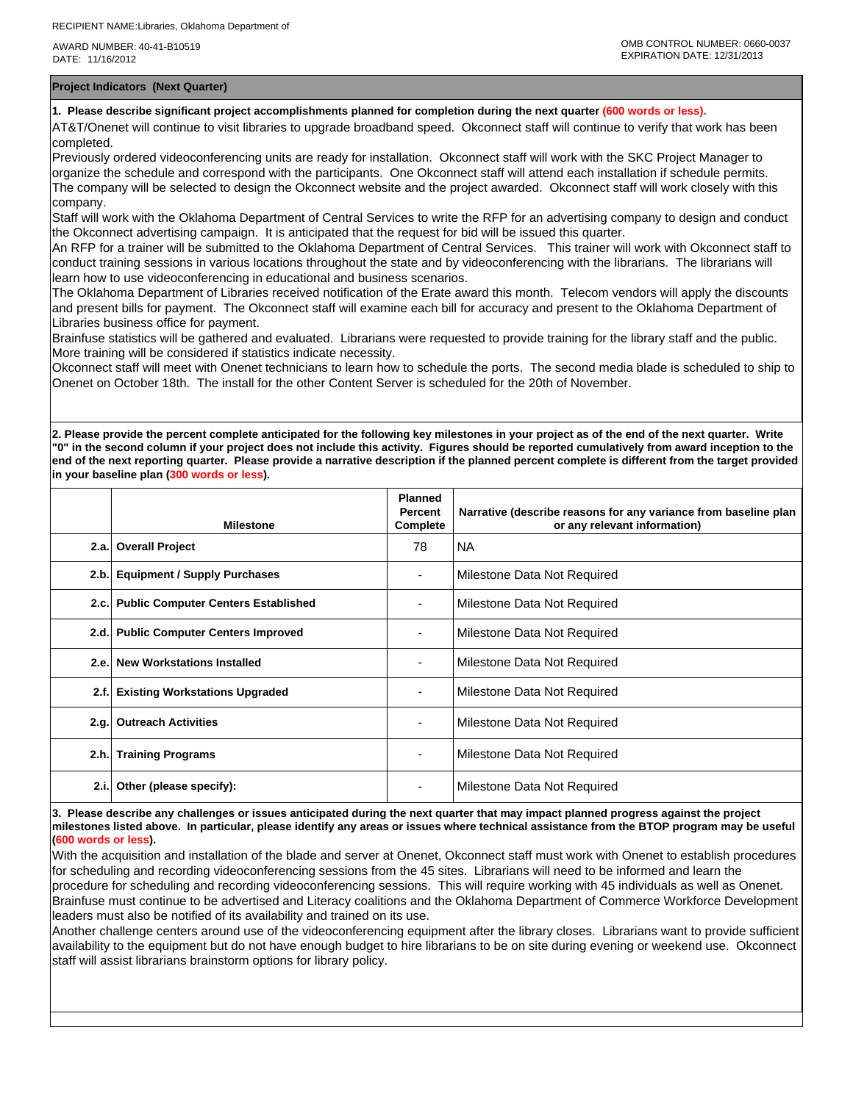**Project Indicators (Next Quarter)**

**1. Please describe significant project accomplishments planned for completion during the next quarter (600 words or less).**

AT&T/Onenet will continue to visit libraries to upgrade broadband speed. Okconnect staff will continue to verify that work has been completed.

Previously ordered videoconferencing units are ready for installation. Okconnect staff will work with the SKC Project Manager to organize the schedule and correspond with the participants. One Okconnect staff will attend each installation if schedule permits. The company will be selected to design the Okconnect website and the project awarded. Okconnect staff will work closely with this company.

Staff will work with the Oklahoma Department of Central Services to write the RFP for an advertising company to design and conduct the Okconnect advertising campaign. It is anticipated that the request for bid will be issued this quarter.

An RFP for a trainer will be submitted to the Oklahoma Department of Central Services. This trainer will work with Okconnect staff to conduct training sessions in various locations throughout the state and by videoconferencing with the librarians. The librarians will learn how to use videoconferencing in educational and business scenarios.

The Oklahoma Department of Libraries received notification of the Erate award this month. Telecom vendors will apply the discounts and present bills for payment. The Okconnect staff will examine each bill for accuracy and present to the Oklahoma Department of Libraries business office for payment.

Brainfuse statistics will be gathered and evaluated. Librarians were requested to provide training for the library staff and the public. More training will be considered if statistics indicate necessity.

Okconnect staff will meet with Onenet technicians to learn how to schedule the ports. The second media blade is scheduled to ship to Onenet on October 18th. The install for the other Content Server is scheduled for the 20th of November.

**2. Please provide the percent complete anticipated for the following key milestones in your project as of the end of the next quarter. Write "0" in the second column if your project does not include this activity. Figures should be reported cumulatively from award inception to the end of the next reporting quarter. Please provide a narrative description if the planned percent complete is different from the target provided in your baseline plan (300 words or less).**

|      | <b>Milestone</b>                         | <b>Planned</b><br>Percent<br>Complete | Narrative (describe reasons for any variance from baseline plan<br>or any relevant information) |
|------|------------------------------------------|---------------------------------------|-------------------------------------------------------------------------------------------------|
| 2.a. | <b>Overall Project</b>                   | 78                                    | NA.                                                                                             |
|      | 2.b. Equipment / Supply Purchases        |                                       | Milestone Data Not Required                                                                     |
|      | 2.c. Public Computer Centers Established |                                       | Milestone Data Not Required                                                                     |
|      | 2.d. Public Computer Centers Improved    |                                       | Milestone Data Not Required                                                                     |
|      | 2.e. New Workstations Installed          |                                       | Milestone Data Not Required                                                                     |
| 2.f. | <b>Existing Workstations Upgraded</b>    |                                       | Milestone Data Not Required                                                                     |
| 2.g. | <b>Outreach Activities</b>               | ٠                                     | Milestone Data Not Required                                                                     |
| 2.h. | <b>Training Programs</b>                 |                                       | Milestone Data Not Required                                                                     |
| 2.i. | Other (please specify):                  |                                       | Milestone Data Not Required                                                                     |

**3. Please describe any challenges or issues anticipated during the next quarter that may impact planned progress against the project milestones listed above. In particular, please identify any areas or issues where technical assistance from the BTOP program may be useful (600 words or less).**

With the acquisition and installation of the blade and server at Onenet, Okconnect staff must work with Onenet to establish procedures for scheduling and recording videoconferencing sessions from the 45 sites. Librarians will need to be informed and learn the procedure for scheduling and recording videoconferencing sessions. This will require working with 45 individuals as well as Onenet. Brainfuse must continue to be advertised and Literacy coalitions and the Oklahoma Department of Commerce Workforce Development leaders must also be notified of its availability and trained on its use.

Another challenge centers around use of the videoconferencing equipment after the library closes. Librarians want to provide sufficient availability to the equipment but do not have enough budget to hire librarians to be on site during evening or weekend use. Okconnect staff will assist librarians brainstorm options for library policy.